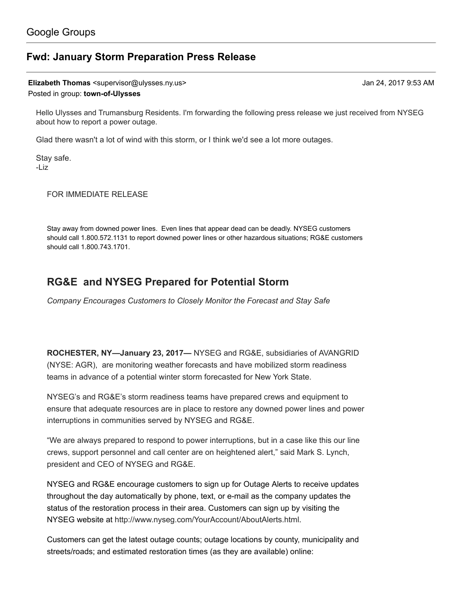## Fwd: January Storm [Preparation](https://groups.google.com/d/topic/town-of-ulysses/p5tsxQcgEWY) Press Release

Elizabeth Thomas <supervisor@ulysses.ny.us> Jan 24, 2017 9:53 AM

Posted in group: [town-of-Ulysses](https://groups.google.com/d/forum/town-of-ulysses)

Hello Ulysses and Trumansburg Residents. I'm forwarding the following press release we just received from NYSEG about how to report a power outage.

Glad there wasn't a lot of wind with this storm, or I think we'd see a lot more outages.

Stay safe. -Liz

FOR IMMEDIATE RELEASE

Stay away from downed power lines. Even lines that appear dead can be deadly. NYSEG customers should call 1.800.572.1131 to report downed power lines or other hazardous situations; RG&E customers should call 1.800.743.1701.

# RG&E and NYSEG Prepared for Potential Storm

Company Encourages Customers to Closely Monitor the Forecast and Stay Safe

ROCHESTER, NY—January 23, 2017— NYSEG and RG&E, subsidiaries of AVANGRID (NYSE: AGR), are monitoring weather forecasts and have mobilized storm readiness teams in advance of a potential winter storm forecasted for New York State.

NYSEG's and RG&E's storm readiness teams have prepared crews and equipment to ensure that adequate resources are in place to restore any downed power lines and power interruptions in communities served by NYSEG and RG&E.

"We are always prepared to respond to power interruptions, but in a case like this our line crews, support personnel and call center are on heightened alert," said Mark S. Lynch, president and CEO of NYSEG and RG&E.

NYSEG and RG&E encourage customers to sign up for Outage Alerts to receive updates throughout the day automatically by phone, text, or e-mail as the company updates the status of the restoration process in their area. Customers can sign up by visiting the NYSEG website at [http://www.nyseg.com/YourAccount/AboutAlerts.html.](http://www.nyseg.com/YourAccount/AboutAlerts.html)

Customers can get the latest outage counts; outage locations by county, municipality and streets/roads; and estimated restoration times (as they are available) online: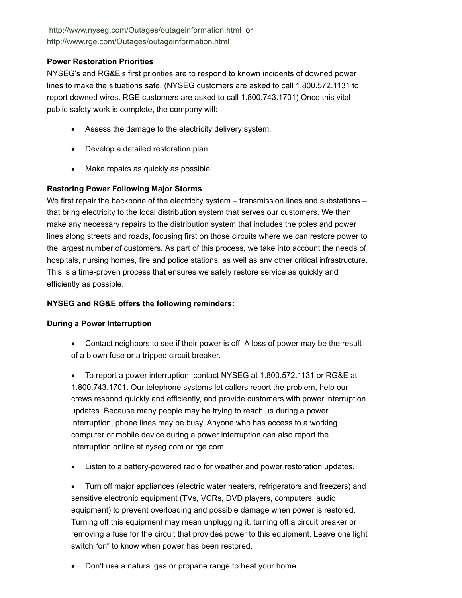<http://www.nyseg.com/Outages/outageinformation.html> or <http://www.rge.com/Outages/outageinformation.html>

### Power Restoration Priorities

NYSEG's and RG&E's first priorities are to respond to known incidents of downed power lines to make the situations safe. (NYSEG customers are asked to call 1.800.572.1131 to report downed wires. RGE customers are asked to call 1.800.743.1701) Once this vital public safety work is complete, the company will:

- · Assess the damage to the electricity delivery system.
- · Develop a detailed restoration plan.
- · Make repairs as quickly as possible.

#### Restoring Power Following Major Storms

We first repair the backbone of the electricity system – transmission lines and substations – that bring electricity to the local distribution system that serves our customers. We then make any necessary repairs to the distribution system that includes the poles and power lines along streets and roads, focusing first on those circuits where we can restore power to the largest number of customers. As part of this process, we take into account the needs of hospitals, nursing homes, fire and police stations, as well as any other critical infrastructure. This is a time-proven process that ensures we safely restore service as quickly and efficiently as possible.

#### NYSEG and RG&E offers the following reminders:

#### During a Power Interruption

· Contact neighbors to see if their power is off. A loss of power may be the result of a blown fuse or a tripped circuit breaker.

· To report a power interruption, contact NYSEG at 1.800.572.1131 or RG&E at 1.800.743.1701. Our telephone systems let callers report the problem, help our crews respond quickly and efficiently, and provide customers with power interruption updates. Because many people may be trying to reach us during a power interruption, phone lines may be busy. Anyone who has access to a working computer or mobile device during a power interruption can also report the interruption online at [nyseg.com](http://nyseg.com/) or [rge.com](http://rge.com/).

· Listen to a battery-powered radio for weather and power restoration updates.

· Turn off major appliances (electric water heaters, refrigerators and freezers) and sensitive electronic equipment (TVs, VCRs, DVD players, computers, audio equipment) to prevent overloading and possible damage when power is restored. Turning off this equipment may mean unplugging it, turning off a circuit breaker or removing a fuse for the circuit that provides power to this equipment. Leave one light switch "on" to know when power has been restored.

Don't use a natural gas or propane range to heat your home.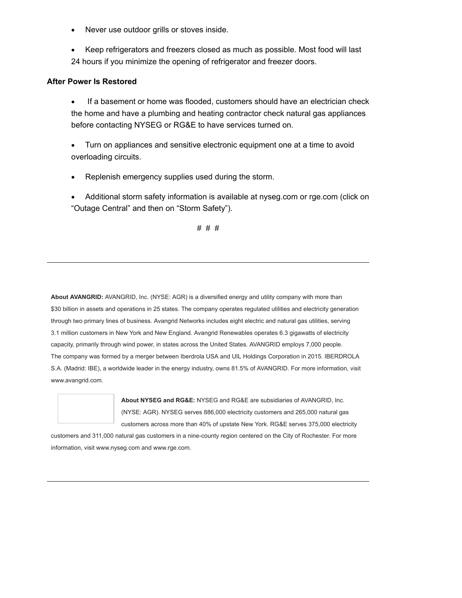- · Never use outdoor grills or stoves inside.
- Keep refrigerators and freezers closed as much as possible. Most food will last 24 hours if you minimize the opening of refrigerator and freezer doors.

#### After Power Is Restored

- · If a basement or home was flooded, customers should have an electrician check the home and have a plumbing and heating contractor check natural gas appliances before contacting NYSEG or RG&E to have services turned on.
- · Turn on appliances and sensitive electronic equipment one at a time to avoid overloading circuits.
- Replenish emergency supplies used during the storm.
- · Additional storm safety information is available at [nyseg.com](http://nyseg.com/) or [rge.com](http://rge.com/) (click on "Outage Central" and then on "Storm Safety").

# # #

About AVANGRID: AVANGRID, Inc. (NYSE: AGR) is a diversified energy and utility company with more than \$30 billion in assets and operations in 25 states. The company operates requlated utilities and electricity generation through two primary lines of business. Avangrid Networks includes eight electric and natural gas utilities, serving 3.1 million customers in New York and New England. Avangrid Renewables operates 6.3 gigawatts of electricity capacity, primarily through wind power, in states across the United States. AVANGRID employs 7,000 people. The company was formed by a merger between Iberdrola USA and UIL Holdings Corporation in 2015. IBERDROLA S.A. (Madrid: IBE), a worldwide leader in the energy industry, owns 81.5% of AVANGRID. For more information, visit www.avangrid.com.



About NYSEG and RG&E: NYSEG and RG&E are subsidiaries of AVANGRID, Inc. (NYSE: AGR). NYSEG serves 886,000 electricity customers and 265,000 natural gas customers across more than 40% of upstate New York. RG&E serves 375,000 electricity

customers and 311,000 natural gas customers in a nine-county region centered on the City of Rochester. For more information, visit [www.nyseg.com](http://www.nyseg.com/) and www.rge.com.